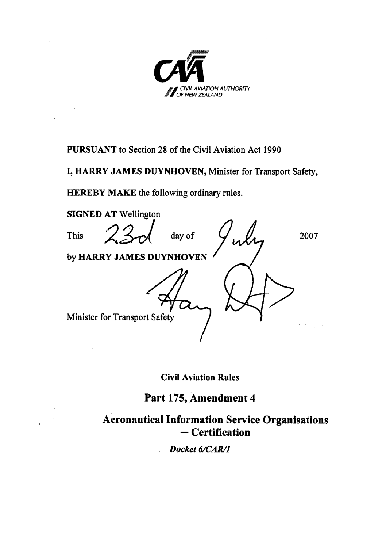

**PURSUANT** to Section 28 of the Civil Aviation Act 1990

**I, HARRY JAMES DUYNHOVEN,** Minister for Transport Safety,

**HEREBY MAKE** the following ordinary rules.



**Civil Aviation Rules**

**Part 175, Amendment 4**

**Aeronautical Information Service Organisations ─ Certification**

*Docket 6/CAR/1*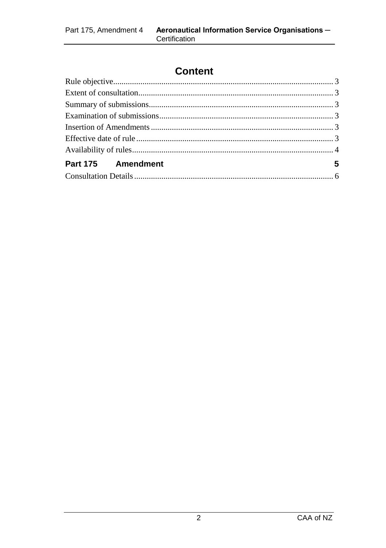# **Content**

| Part 175 Amendment     |  |
|------------------------|--|
| Consultation Details 6 |  |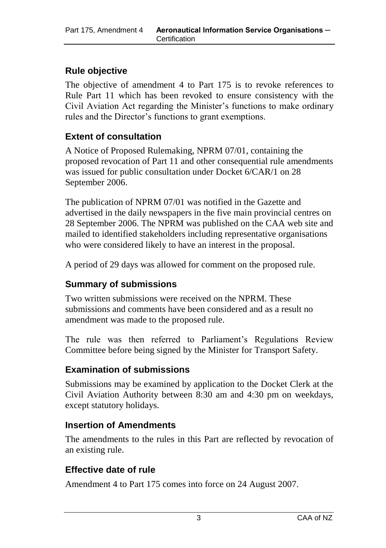## **Rule objective**

The objective of amendment 4 to Part 175 is to revoke references to Rule Part 11 which has been revoked to ensure consistency with the Civil Aviation Act regarding the Minister's functions to make ordinary rules and the Director's functions to grant exemptions.

#### **Extent of consultation**

A Notice of Proposed Rulemaking, NPRM 07/01, containing the proposed revocation of Part 11 and other consequential rule amendments was issued for public consultation under Docket 6/CAR/1 on 28 September 2006.

The publication of NPRM 07/01 was notified in the Gazette and advertised in the daily newspapers in the five main provincial centres on 28 September 2006. The NPRM was published on the CAA web site and mailed to identified stakeholders including representative organisations who were considered likely to have an interest in the proposal.

A period of 29 days was allowed for comment on the proposed rule.

## **Summary of submissions**

Two written submissions were received on the NPRM. These submissions and comments have been considered and as a result no amendment was made to the proposed rule.

The rule was then referred to Parliament's Regulations Review Committee before being signed by the Minister for Transport Safety.

#### **Examination of submissions**

Submissions may be examined by application to the Docket Clerk at the Civil Aviation Authority between 8:30 am and 4:30 pm on weekdays, except statutory holidays.

#### **Insertion of Amendments**

The amendments to the rules in this Part are reflected by revocation of an existing rule.

#### **Effective date of rule**

Amendment 4 to Part 175 comes into force on 24 August 2007.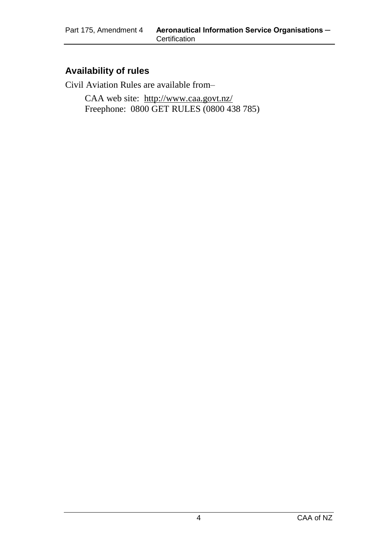#### **Availability of rules**

Civil Aviation Rules are available from–

CAA web site:<http://www.caa.govt.nz/> Freephone: 0800 GET RULES (0800 438 785)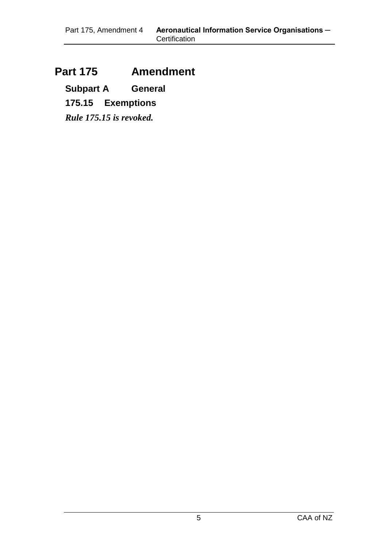## **Part 175 Amendment**

**Subpart A General**

**175.15 Exemptions**

*Rule 175.15 is revoked.*